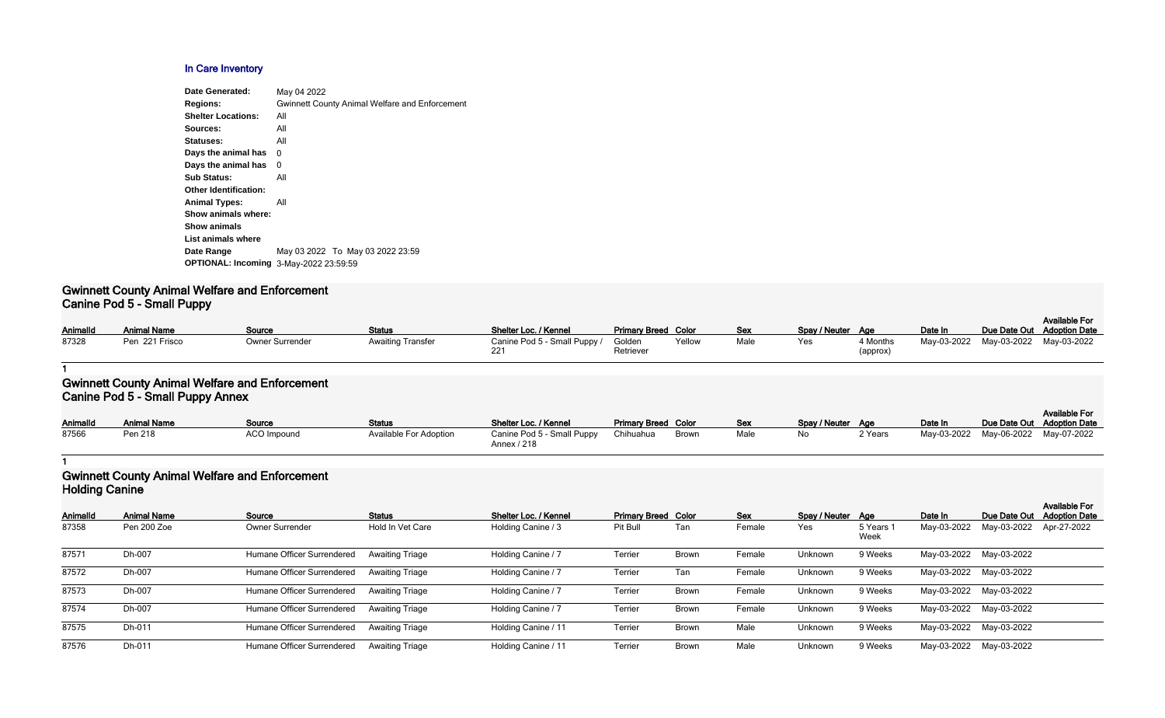### **In Care Inventory**

| <b>Date Generated:</b>                        | May 04 2022                                           |
|-----------------------------------------------|-------------------------------------------------------|
| <b>Regions:</b>                               | <b>Gwinnett County Animal Welfare and Enforcement</b> |
| <b>Shelter Locations:</b>                     | All                                                   |
| Sources:                                      | All                                                   |
| Statuses:                                     | All                                                   |
| Days the animal has                           | 0                                                     |
| Days the animal has                           | 0                                                     |
| <b>Sub Status:</b>                            | All                                                   |
| <b>Other Identification:</b>                  |                                                       |
| <b>Animal Types:</b>                          | All                                                   |
| Show animals where:                           |                                                       |
| <b>Show animals</b>                           |                                                       |
| List animals where                            |                                                       |
| Date Range                                    | May 03 2022 To May 03 2022 23:59                      |
| <b>OPTIONAL: Incoming 3-May-2022 23:59:59</b> |                                                       |
|                                               |                                                       |

#### **Gwinnett County Animal Welfare and Enforcement Canine Pod 5 - Small Puppy**

| Animalld | .<br><b>Animal Name</b> | <b>Source</b>   | <b>Status</b>            | Shelter Loc. / Kennel        | <b>Primary Breed Color</b> |        | Sex  | Spay / Neuter Age |                      | Date In                             | <b>Available For</b><br>Due Date Out Adoption Date |
|----------|-------------------------|-----------------|--------------------------|------------------------------|----------------------------|--------|------|-------------------|----------------------|-------------------------------------|----------------------------------------------------|
| 87328    | Pen 221 Frisco          | Owner Surrender | <b>Awaiting Transfer</b> | Canine Pod 5 - Small Puppy / | Golden<br>Retriever        | Yellow | Male | Yes               | l Months<br>(approx) | May-03-2022 May-03-2022 May-03-2022 |                                                    |

#### **1**

### **Gwinnett County Animal Welfare and Enforcement Canine Pod 5 - Small Puppy Annex**

| <b>AnimalId</b> | <b>Animal Name</b> | Source             | <b>Status</b>          | Shelter Loc. / Kennel                     | <b>Primary Breed Color</b> |              | <u>Sex</u> | Spay / Neuter Age |         | Date In                             | Due Date Out Adoption Date | <b>Available For</b> |
|-----------------|--------------------|--------------------|------------------------|-------------------------------------------|----------------------------|--------------|------------|-------------------|---------|-------------------------------------|----------------------------|----------------------|
| 87566           | Pen 218            | <b>ACO Impound</b> | Available For Adoption | Canine Pod 5 - Small Puppy<br>Annex / 218 | Chihuahua                  | <b>Brown</b> | Male       | No                | 2 Years | May-03-2022 May-06-2022 May-07-2022 |                            |                      |

#### **1**

## **Gwinnett County Animal Welfare and Enforcement Holding Canine**

|          | <b>Holding Carling</b> |                            |                        |                       |                            |              |            |                   |                   |             |                         |                                              |  |
|----------|------------------------|----------------------------|------------------------|-----------------------|----------------------------|--------------|------------|-------------------|-------------------|-------------|-------------------------|----------------------------------------------|--|
| Animalld | <b>Animal Name</b>     | Source                     | <b>Status</b>          | Shelter Loc. / Kennel | <b>Primary Breed Color</b> |              | <b>Sex</b> | Spay / Neuter Age |                   | Date In     | Due Date Out            | <b>Available For</b><br><b>Adoption Date</b> |  |
| 87358    | Pen 200 Zoe            | <b>Owner Surrender</b>     | Hold In Vet Care       | Holding Canine / 3    | Pit Bull                   | Tan          | Female     | Yes               | 5 Years 1<br>Week | May-03-2022 | May-03-2022 Apr-27-2022 |                                              |  |
| 87571    | Dh-007                 | Humane Officer Surrendered | <b>Awaiting Triage</b> | Holding Canine / 7    | Terrier                    | <b>Brown</b> | Female     | Unknown           | 9 Weeks           |             | May-03-2022 May-03-2022 |                                              |  |
| 87572    | Dh-007                 | Humane Officer Surrendered | <b>Awaiting Triage</b> | Holding Canine / 7    | Terrier                    | Tan          | Female     | Unknown           | 9 Weeks           |             | May-03-2022 May-03-2022 |                                              |  |
| 87573    | Dh-007                 | Humane Officer Surrendered | <b>Awaiting Triage</b> | Holding Canine / 7    | Terrier                    | <b>Brown</b> | Female     | Unknown           | 9 Weeks           |             | May-03-2022 May-03-2022 |                                              |  |
| 87574    | Dh-007                 | Humane Officer Surrendered | <b>Awaiting Triage</b> | Holding Canine / 7    | Terrier                    | <b>Brown</b> | Female     | Unknown           | 9 Weeks           |             | May-03-2022 May-03-2022 |                                              |  |
| 87575    | Dh-011                 | Humane Officer Surrendered | <b>Awaiting Triage</b> | Holding Canine / 11   | Terrier                    | <b>Brown</b> | Male       | Unknown           | 9 Weeks           |             | May-03-2022 May-03-2022 |                                              |  |
| 87576    | Dh-011                 | Humane Officer Surrendered | <b>Awaiting Triage</b> | Holding Canine / 11   | Terrier                    | Brown        | Male       | Unknown           | 9 Weeks           |             | May-03-2022 May-03-2022 |                                              |  |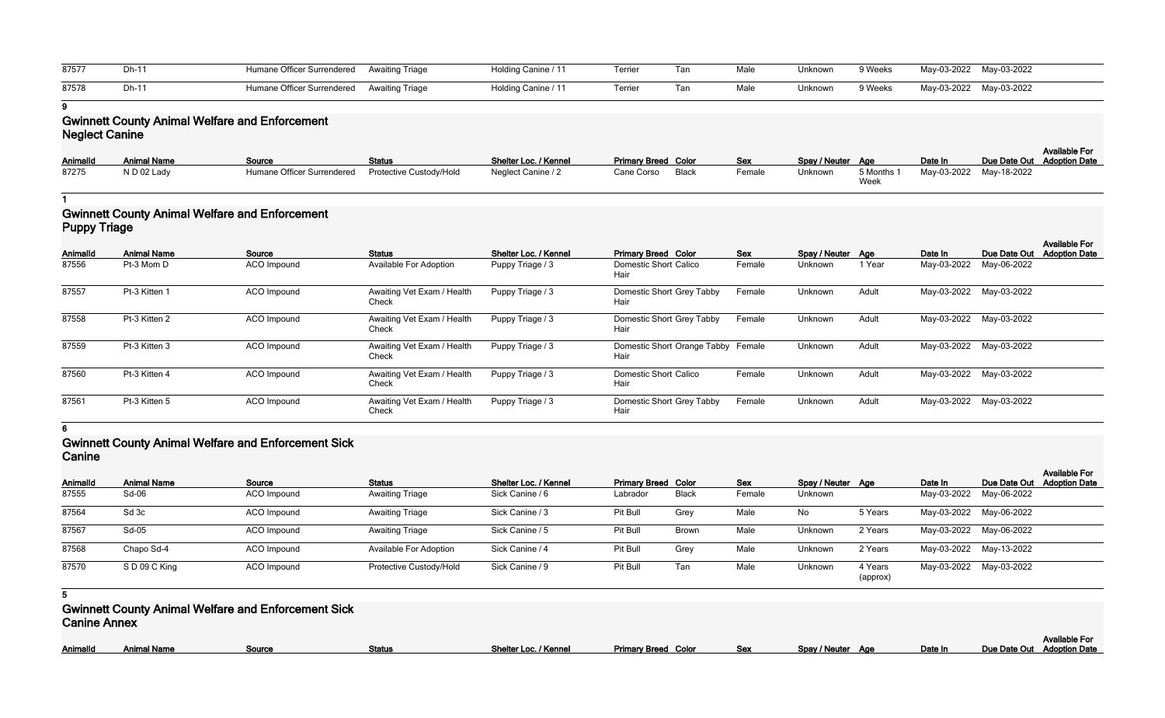| 87577 | $Dh-1$ | Humane Officer Surrendered Awaiting Triage | Holding Canine / 11 | Terrier | Tar. | Male | Unknown | 9 Weeks | May-03-2022 May-03-2022 |  |
|-------|--------|--------------------------------------------|---------------------|---------|------|------|---------|---------|-------------------------|--|
| 87578 | $Dh-1$ | Humane Officer Surrendered Awaiting Triage | Holding Canine / 11 | Terrier | Tar  | Male | Unknown | 9 Weeks | May-03-2022 May-03-2022 |  |

**9**

# **Gwinnett County Animal Welfare and Enforcement Neglect Canine**

|          |                    |                                                     |               |                       |                            |        |                   |                    |                         | <b>Available For</b>       |
|----------|--------------------|-----------------------------------------------------|---------------|-----------------------|----------------------------|--------|-------------------|--------------------|-------------------------|----------------------------|
| AnimalId | <b>Animal Name</b> | Source                                              | <b>Status</b> | Shelter Loc. / Kennel | <b>Primary Breed Color</b> | Sex    | Spay / Neuter Age |                    | Date In                 | Due Date Out Adoption Date |
| 87275    | N D 02 Lady        | Humane Officer Surrendered  Protective Custody/Hold |               | Neglect Canine / 2    | Black<br>Cane Corso        | Female | <b>Unknown</b>    | 5 Months 1<br>Week | May-03-2022 May-18-2022 |                            |

**1**

# **Gwinnett County Animal Welfare and Enforcement Puppy Triage**

| Animalld | <b>Animal Name</b> | Source             | <b>Status</b>                       | Shelter Loc. / Kennel | <b>Primary Breed Color</b>                 | Sex    | Spay / Neuter Age |        | Date In                 | Due Date Out | <b>Available For</b><br><b>Adoption Date</b> |
|----------|--------------------|--------------------|-------------------------------------|-----------------------|--------------------------------------------|--------|-------------------|--------|-------------------------|--------------|----------------------------------------------|
| 87556    | Pt-3 Mom D         | ACO Impound        | <b>Available For Adoption</b>       | Puppy Triage / 3      | <b>Domestic Short Calico</b><br>Hair       | Female | Unknown           | 1 Year | May-03-2022             | May-06-2022  |                                              |
| 87557    | Pt-3 Kitten 1      | ACO Impound        | Awaiting Vet Exam / Health<br>Check | Puppy Triage / 3      | Domestic Short Grey Tabby<br>Hair          | Female | Unknown           | Adult  | May-03-2022             | May-03-2022  |                                              |
| 87558    | Pt-3 Kitten 2      | ACO Impound        | Awaiting Vet Exam / Health<br>Check | Puppy Triage / 3      | Domestic Short Grey Tabby<br>Hair          | Female | Unknown           | Adult  | May-03-2022 May-03-2022 |              |                                              |
| 87559    | Pt-3 Kitten 3      | <b>ACO</b> Impound | Awaiting Vet Exam / Health<br>Check | Puppy Triage / 3      | Domestic Short Orange Tabby Female<br>Hair |        | Unknown           | Adult  | May-03-2022             | May-03-2022  |                                              |
| 87560    | Pt-3 Kitten 4      | ACO Impound        | Awaiting Vet Exam / Health<br>Check | Puppy Triage / 3      | <b>Domestic Short Calico</b><br>Hair       | Female | Unknown           | Adult  | May-03-2022 May-03-2022 |              |                                              |
| 87561    | Pt-3 Kitten 5      | ACO Impound        | Awaiting Vet Exam / Health<br>Check | Puppy Triage / 3      | Domestic Short Grey Tabby<br>Hair          | Female | Unknown           | Adult  | May-03-2022 May-03-2022 |              |                                              |

**6**

## **Gwinnett County Animal Welfare and Enforcement Sick Canine**

| <b>VALILIV</b>  |                    |                    |                               |                       |                            |       |            |                   |                     |         |                         |                                              |
|-----------------|--------------------|--------------------|-------------------------------|-----------------------|----------------------------|-------|------------|-------------------|---------------------|---------|-------------------------|----------------------------------------------|
| <b>AnimalId</b> | <b>Animal Name</b> | Source             | <b>Status</b>                 | Shelter Loc. / Kennel | <b>Primary Breed Color</b> |       | <b>Sex</b> | Spay / Neuter Age |                     | Date In | Due Date Out            | <b>Available For</b><br><b>Adoption Date</b> |
| 87555           | $Sd-06$            | <b>ACO</b> Impound | <b>Awaiting Triage</b>        | Sick Canine / 6       | Labrador                   | Black | Female     | Unknown           |                     |         | May-03-2022 May-06-2022 |                                              |
| 87564           | Sd 3c              | ACO Impound        | <b>Awaiting Triage</b>        | Sick Canine / 3       | Pit Bull                   | Grey  | Male       | No                | 5 Years             |         | May-03-2022 May-06-2022 |                                              |
| 87567           | Sd-05              | ACO Impound        | <b>Awaiting Triage</b>        | Sick Canine / 5       | Pit Bull                   | Brown | Male       | Unknown           | 2 Years             |         | May-03-2022 May-06-2022 |                                              |
| 87568           | Chapo Sd-4         | <b>ACO</b> Impound | <b>Available For Adoption</b> | Sick Canine / 4       | Pit Bull                   | Grey  | Male       | Unknown           | 2 Years             |         | May-03-2022 May-13-2022 |                                              |
| 87570           | SD 09 C King       | ACO Impound        | Protective Custody/Hold       | Sick Canine / 9       | Pit Bull                   | Tan   | Male       | Unknown           | 4 Years<br>(approx) |         | May-03-2022 May-03-2022 |                                              |

**5**

**Gwinnett County Animal Welfare and Enforcement Sick Canine Annex**

|--|

| Spay / Neuter | <b>Age</b> | Date In | <b>Available For</b><br>Due Date Out Adoption Date |
|---------------|------------|---------|----------------------------------------------------|
|               |            |         |                                                    |